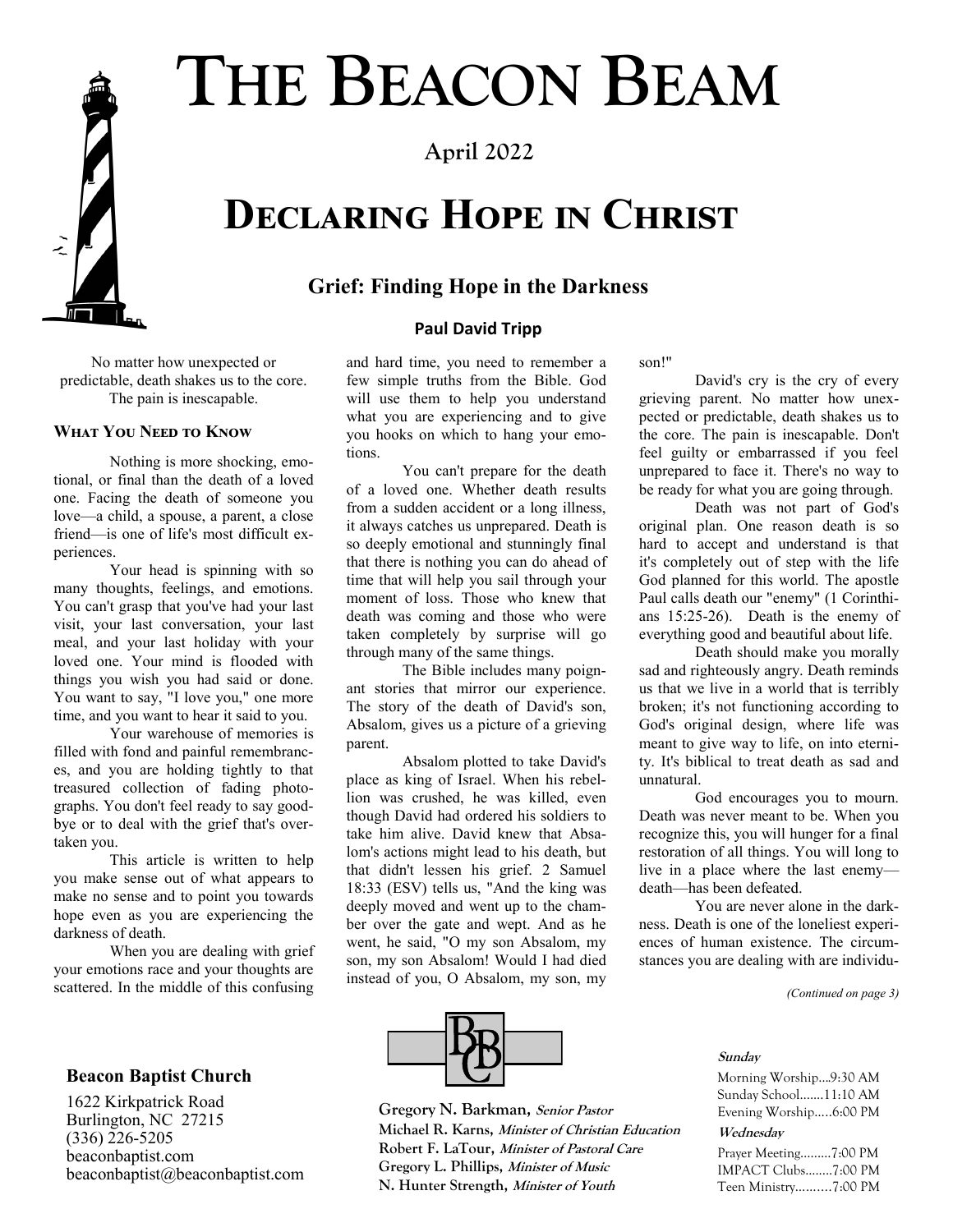# **THE BEACON BEAM**

**April 2022**

## **Declaring Hope in Christ**

#### **Grief: Finding Hope in the Darkness**

#### **Paul David Tripp**

No matter how unexpected or predictable, death shakes us to the core. The pain is inescapable.

#### **What You Need to Know**

Nothing is more shocking, emotional, or final than the death of a loved one. Facing the death of someone you love—a child, a spouse, a parent, a close friend—is one of life's most difficult experiences.

Your head is spinning with so many thoughts, feelings, and emotions. You can't grasp that you've had your last visit, your last conversation, your last meal, and your last holiday with your loved one. Your mind is flooded with things you wish you had said or done. You want to say, "I love you," one more time, and you want to hear it said to you.

Your warehouse of memories is filled with fond and painful remembrances, and you are holding tightly to that treasured collection of fading photographs. You don't feel ready to say goodbye or to deal with the grief that's overtaken you.

This article is written to help you make sense out of what appears to make no sense and to point you towards hope even as you are experiencing the darkness of death.

When you are dealing with grief your emotions race and your thoughts are scattered. In the middle of this confusing

#### **Beacon Baptist Church**

1622 Kirkpatrick Road Burlington, NC 27215  $(336)$   $\bar{2}26 - 5205$ beaconbaptist.com beaconbaptist@beaconbaptist.com and hard time, you need to remember a few simple truths from the Bible. God will use them to help you understand what you are experiencing and to give you hooks on which to hang your emotions.

You can't prepare for the death of a loved one. Whether death results from a sudden accident or a long illness, it always catches us unprepared. Death is so deeply emotional and stunningly final that there is nothing you can do ahead of time that will help you sail through your moment of loss. Those who knew that death was coming and those who were taken completely by surprise will go through many of the same things.

The Bible includes many poignant stories that mirror our experience. The story of the death of David's son, Absalom, gives us a picture of a grieving parent.

Absalom plotted to take David's place as king of Israel. When his rebellion was crushed, he was killed, even though David had ordered his soldiers to take him alive. David knew that Absalom's actions might lead to his death, but that didn't lessen his grief. 2 Samuel 18:33 (ESV) tells us, "And the king was deeply moved and went up to the chamber over the gate and wept. And as he went, he said, "O my son Absalom, my son, my son Absalom! Would I had died instead of you, O Absalom, my son, my

son!"

David's cry is the cry of every grieving parent. No matter how unexpected or predictable, death shakes us to the core. The pain is inescapable. Don't feel guilty or embarrassed if you feel unprepared to face it. There's no way to be ready for what you are going through.

Death was not part of God's original plan. One reason death is so hard to accept and understand is that it's completely out of step with the life God planned for this world. The apostle Paul calls death our "enemy" (1 Corinthians 15:25-26). Death is the enemy of everything good and beautiful about life.

Death should make you morally sad and righteously angry. Death reminds us that we live in a world that is terribly broken; it's not functioning according to God's original design, where life was meant to give way to life, on into eternity. It's biblical to treat death as sad and unnatural.

God encourages you to mourn. Death was never meant to be. When you recognize this, you will hunger for a final restoration of all things. You will long to live in a place where the last enemy death—has been defeated.

You are never alone in the darkness. Death is one of the loneliest experiences of human existence. The circumstances you are dealing with are individu-

*(Continued on page 3)*

#### **Sunday**

Morning Worship….9:30 AM Sunday School…....11:10 AM Evening Worship…..6:00 PM

#### **Wednesday**

Prayer Meeting…...…7:00 PM IMPACT Clubs........7:00 PM Teen Ministry……....7:00 PM



**1 N. Hunter Strength, Minister of Youth Gregory N. Barkman, Senior Pastor Michael R. Karns, Minister of Christian Education Robert F. LaTour, Minister of Pastoral Care Gregory L. Phillips, Minister of Music**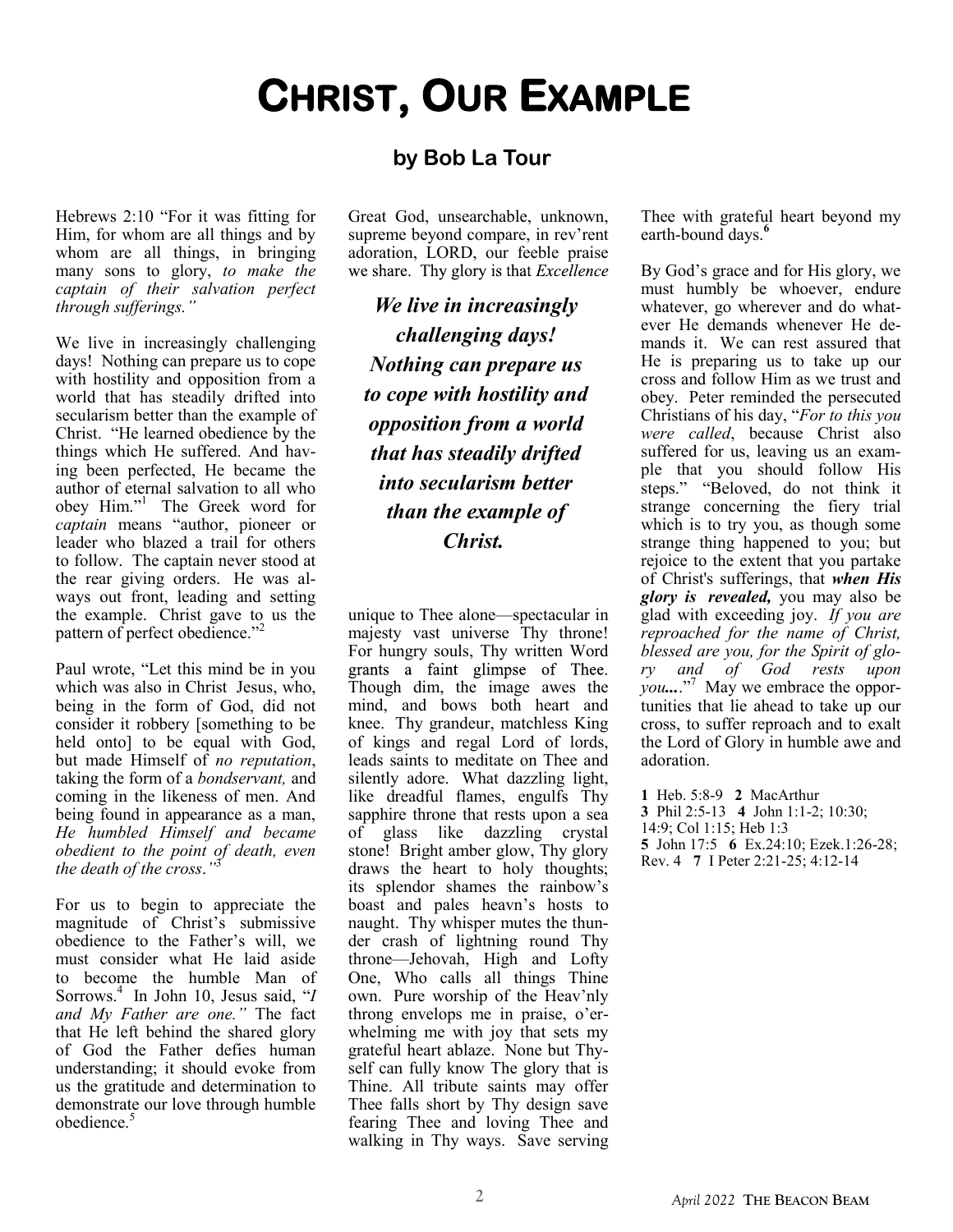### **by Bob La Tour**

Hebrews 2:10 "For it was fitting for Him, for whom are all things and by whom are all things, in bringing many sons to glory, *to make the captain of their salvation perfect through sufferings."*

We live in increasingly challenging days! Nothing can prepare us to cope with hostility and opposition from a world that has steadily drifted into secularism better than the example of Christ. "He learned obedience by the things which He suffered. And having been perfected, He became the author of eternal salvation to all who obey Him."<sup>1</sup> The Greek word for *captain* means "author, pioneer or leader who blazed a trail for others to follow. The captain never stood at the rear giving orders. He was always out front, leading and setting the example. Christ gave to us the pattern of perfect obedience."<sup>2</sup>

Paul wrote, "Let this mind be in you which was also in Christ Jesus, who, being in the form of God, did not consider it robbery [something to be held onto] to be equal with God, but made Himself of *no reputation*, taking the form of a *bondservant,* and coming in the likeness of men. And being found in appearance as a man, *He humbled Himself and became obedient to the point of death, even the death of the cross*.*"* 3

For us to begin to appreciate the magnitude of Christ's submissive obedience to the Father's will, we must consider what He laid aside to become the humble Man of Sorrows.<sup>4</sup> In John 10, Jesus said, "*I and My Father are one."* The fact that He left behind the shared glory of God the Father defies human understanding; it should evoke from us the gratitude and determination to demonstrate our love through humble obedience.<sup>5</sup>

Great God, unsearchable, unknown, supreme beyond compare, in rev'rent adoration, LORD, our feeble praise we share. Thy glory is that *Excellence* 

**CHRIST, OUR EXAMPLE**

*We live in increasingly challenging days! Nothing can prepare us to cope with hostility and opposition from a world that has steadily drifted into secularism better than the example of Christ.*

unique to Thee alone—spectacular in majesty vast universe Thy throne! For hungry souls, Thy written Word grants a faint glimpse of Thee. Though dim, the image awes the mind, and bows both heart and knee. Thy grandeur, matchless King of kings and regal Lord of lords, leads saints to meditate on Thee and silently adore. What dazzling light, like dreadful flames, engulfs Thy sapphire throne that rests upon a sea of glass like dazzling crystal stone! Bright amber glow, Thy glory draws the heart to holy thoughts; its splendor shames the rainbow's boast and pales heavn's hosts to naught. Thy whisper mutes the thunder crash of lightning round Thy throne—Jehovah, High and Lofty One, Who calls all things Thine own. Pure worship of the Heav'nly throng envelops me in praise, o'erwhelming me with joy that sets my grateful heart ablaze. None but Thyself can fully know The glory that is Thine. All tribute saints may offer Thee falls short by Thy design save fearing Thee and loving Thee and walking in Thy ways. Save serving Thee with grateful heart beyond my earth-bound days.**<sup>6</sup>**

By God's grace and for His glory, we must humbly be whoever, endure whatever, go wherever and do whatever He demands whenever He demands it. We can rest assured that He is preparing us to take up our cross and follow Him as we trust and obey. Peter reminded the persecuted Christians of his day, "*For to this you were called*, because Christ also suffered for us, leaving us an example that you should follow His steps." "Beloved, do not think it strange concerning the fiery trial which is to try you, as though some strange thing happened to you; but rejoice to the extent that you partake of Christ's sufferings, that *when His glory is revealed,* you may also be glad with exceeding joy. *If you are reproached for the name of Christ, blessed are you, for the Spirit of glory and of God rests upon you...*."<sup>7</sup> May we embrace the opportunities that lie ahead to take up our cross, to suffer reproach and to exalt the Lord of Glory in humble awe and adoration.

**1** Heb. 5:8-9 **2** MacArthur **3** Phil 2:5-13 **4** John 1:1-2; 10:30; 14:9; Col 1:15; Heb 1:3 **5** John 17:5 **6** Ex.24:10; Ezek.1:26-28; Rev. 4 **7** I Peter 2:21-25; 4:12-14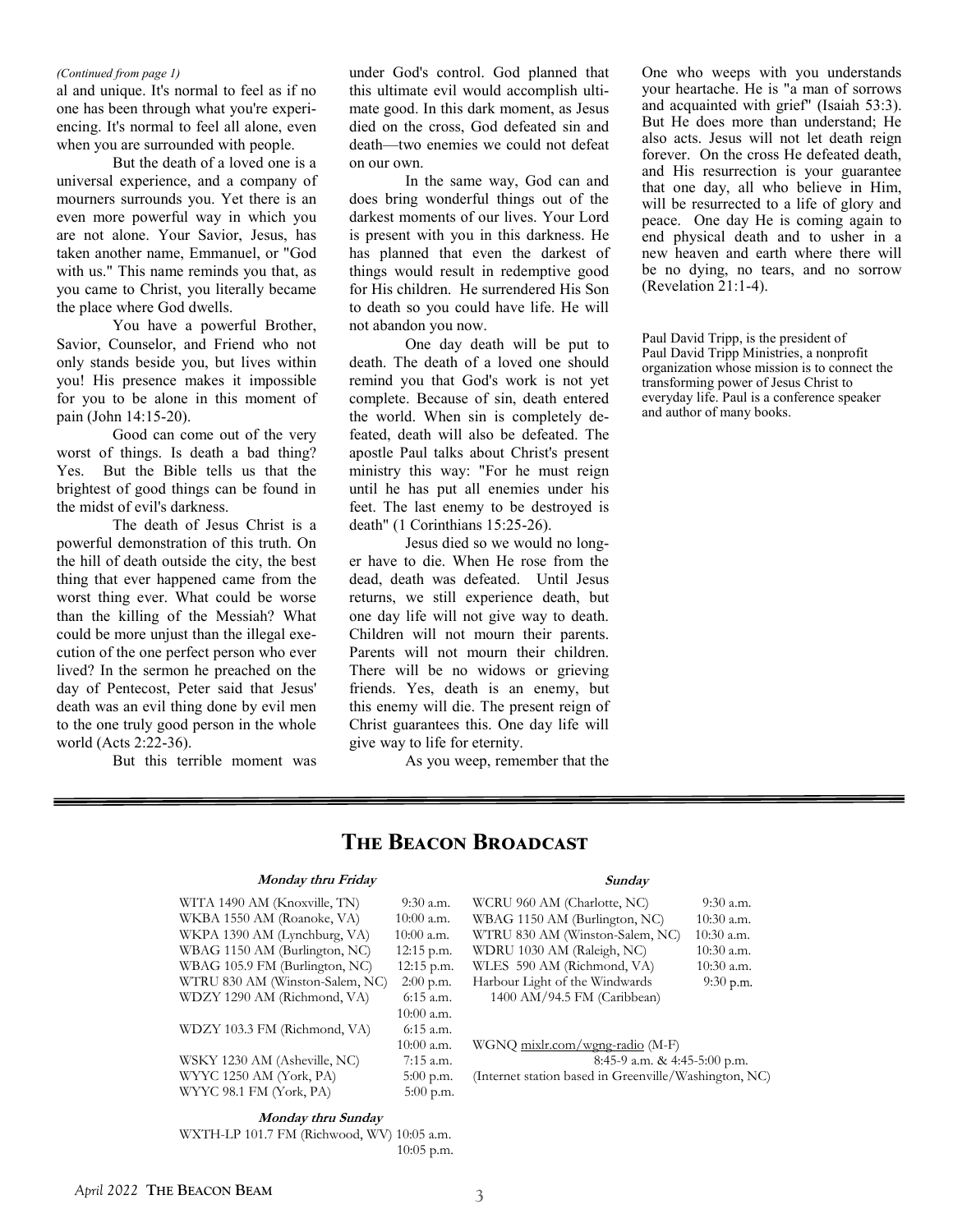#### *(Continued from page 1)*

al and unique. It's normal to feel as if no one has been through what you're experiencing. It's normal to feel all alone, even when you are surrounded with people.

But the death of a loved one is a universal experience, and a company of mourners surrounds you. Yet there is an even more powerful way in which you are not alone. Your Savior, Jesus, has taken another name, Emmanuel, or "God with us." This name reminds you that, as you came to Christ, you literally became the place where God dwells.

You have a powerful Brother, Savior, Counselor, and Friend who not only stands beside you, but lives within you! His presence makes it impossible for you to be alone in this moment of pain (John 14:15-20).

Good can come out of the very worst of things. Is death a bad thing? Yes. But the Bible tells us that the brightest of good things can be found in the midst of evil's darkness.

The death of Jesus Christ is a powerful demonstration of this truth. On the hill of death outside the city, the best thing that ever happened came from the worst thing ever. What could be worse than the killing of the Messiah? What could be more unjust than the illegal execution of the one perfect person who ever lived? In the sermon he preached on the day of Pentecost, Peter said that Jesus' death was an evil thing done by evil men to the one truly good person in the whole world (Acts 2:22-36).

But this terrible moment was

under God's control. God planned that this ultimate evil would accomplish ultimate good. In this dark moment, as Jesus died on the cross, God defeated sin and death—two enemies we could not defeat on our own.

In the same way, God can and does bring wonderful things out of the darkest moments of our lives. Your Lord is present with you in this darkness. He has planned that even the darkest of things would result in redemptive good for His children. He surrendered His Son to death so you could have life. He will not abandon you now.

One day death will be put to death. The death of a loved one should remind you that God's work is not yet complete. Because of sin, death entered the world. When sin is completely defeated, death will also be defeated. The apostle Paul talks about Christ's present ministry this way: "For he must reign until he has put all enemies under his feet. The last enemy to be destroyed is death" (1 Corinthians 15:25-26).

Jesus died so we would no longer have to die. When He rose from the dead, death was defeated. Until Jesus returns, we still experience death, but one day life will not give way to death. Children will not mourn their parents. Parents will not mourn their children. There will be no widows or grieving friends. Yes, death is an enemy, but this enemy will die. The present reign of Christ guarantees this. One day life will give way to life for eternity.

As you weep, remember that the

One who weeps with you understands your heartache. He is "a man of sorrows and acquainted with grief" (Isaiah 53:3). But He does more than understand; He also acts. Jesus will not let death reign forever. On the cross He defeated death, and His resurrection is your guarantee that one day, all who believe in Him, will be resurrected to a life of glory and peace. One day He is coming again to end physical death and to usher in a new heaven and earth where there will be no dying, no tears, and no sorrow (Revelation 21:1-4).

Paul David Tripp, is the president of Paul David Tripp Ministries, a nonprofit organization whose mission is to connect the transforming power of Jesus Christ to everyday life. Paul is a conference speaker and author of many books.

### **The Beacon Broadcast**

#### **Monday thru Friday**

| WITA 1490 AM (Knoxville, TN)    | 9:30 a.m.    |
|---------------------------------|--------------|
| WKBA 1550 AM (Roanoke, VA)      | 10:00 a.m.   |
| WKPA 1390 AM (Lynchburg, VA)    | $10:00$ a.m. |
| WBAG 1150 AM (Burlington, NC)   | $12:15$ p.m. |
| WBAG 105.9 FM (Burlington, NC)  | $12:15$ p.m. |
| WTRU 830 AM (Winston-Salem, NC) | $2:00$ p.m.  |
| WDZY 1290 AM (Richmond, VA)     | 6:15 a.m.    |
|                                 | 10:00 a.m.   |
| WDZY 103.3 FM (Richmond, VA)    | $6:15$ a.m.  |
|                                 | 10:00 a.m.   |
| WSKY 1230 AM (Asheville, NC)    | $7:15$ a.m.  |
| WYYC 1250 AM (York, PA)         | $5:00$ p.m.  |
| WYYC 98.1 FM (York, PA)         | $5:00$ p.m.  |
|                                 |              |

### **Sunday**

WCRU 960 AM (Charlotte, NC) 9:30 a.m. WBAG 1150 AM (Burlington, NC) 10:30 a.m.<br>WTRU 830 AM (Winston-Salem, NC) 10:30 a.m. WTRU 830 AM (Winston-Salem, NC) WDRU 1030 AM (Raleigh, NC) 10:30 a.m.<br>WLES 590 AM (Richmond, VA) 10:30 a.m. WLES 590 AM (Richmond, VA) Harbour Light of the Windwards 9:30 p.m. 1400 AM/94.5 FM (Caribbean)

WGNQ mixlr.com/wgng-radio (M-F) 8:45-9 a.m. & 4:45-5:00 p.m. (Internet station based in Greenville/Washington, NC)

**Monday thru Sunday** WXTH-LP 101.7 FM (Richwood, WV) 10:05 a.m. 10:05 p.m.